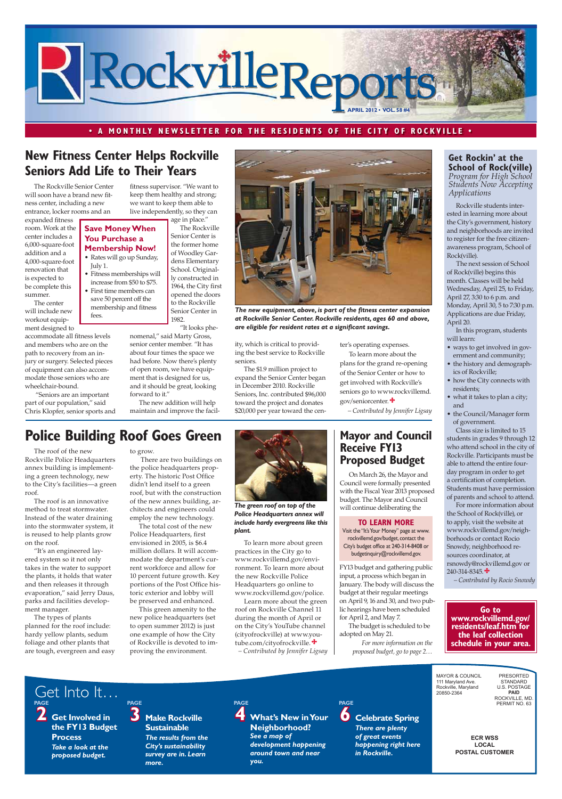**ECR WSS** LOCAL **POSTAL CUSTOMER** MAYOR & COUNCIL 111 Maryland Ave. Rockville, Maryland 20850-2364 PRESORTED STANDARD U.S. POSTAGE **7AID<br>.ROCKVILLE, MD** PERMIT NO. 63 **2 Get Involved in the FY13 Budget Process** *Take a look at the proposed budget.* **3** Make Rockville **Sustainable** *The results from the City's sustainability survey are in. Learn more.* **4 What's New in Your Neighborhood?**  *See a map of development happening around town and near you.* **PAGE 6 Celebrate Spring** *There are plenty of great events happening right here in Rockville.* Get Into It… **PAGE PAGE PAGE**

## **• A MONTHLY NEWSLETTER FOR THE RESIDENTS OF THE CITY OF ROCKVILLE •**



The Rockville Senior Center will soon have a brand new fitness center, including a new entrance, locker rooms and an

expanded fitness room. Work at the center includes a 6,000-square-foot addition and a 4,000-square-foot renovation that is expected to be complete this summer.

The center will include new workout equipment designed to

accommodate all fitness levels and members who are on the path to recovery from an injury or surgery. Selected pieces of equipment can also accommodate those seniors who are wheelchair-bound.

 "Seniors are an important part of our population," said Chris Klopfer, senior sports and

## **New Fitness Center Helps Rockville Seniors Add Life to Their Years**

Rockville students interested in learning more about *Applications* 



*The new equipment, above, is part of the fitness center expansion at Rockville Senior Center. Rockville residents, ages 60 and above, are eligible for resident rates at a significant savings.*

fitness supervisor. "We want to keep them healthy and strong; we want to keep them able to live independently, so they can age in place."

The Rockville Senior Center is the former home of Woodley Gardens Elementary School. Originally constructed in

Senior Center in 1982.

"It looks phe-

For more information about the School of Rock(ville), or to apply, visit the website at www.rockvillemd.gov/neighborhoods or contact Rocio Snowdy, neighborhood resources coordinator, at rsnowdy@rockvillemd.gov or  $240 - 314 - 8345.$   $\div$ 

nomenal," said Marty Gross, senior center member. "It has about four times the space we had before. Now there's plenty of open room, we have equipment that is designed for us, and it should be great, looking forward to it."

## **Get Rockin' at the School of Rock(ville) Program** for High School *Students Now Accepting*

The new addition will help maintain and improve the facility, which is critical to providing the best service to Rockville seniors.

The \$1.9 million project to expand the Senior Center began in December 2010. Rockville Seniors, Inc. contributed \$96,000 toward the project and donates \$20,000 per year toward the center's operating expenses.

To learn more about the plans for the grand re-opening of the Senior Center or how to get involved with Rockville's seniors go to www.rockvillemd. gov/seniorcenter.

*– Contributed by Jennifer Ligsay*

## **Save Money When You Purchase a Membership Now!**

• Rates will go up Sunday, July 1.

- Fitness memberships will increase from \$50 to \$75.
- 1964, the City first opened the doors to the Rockville • First time members can save 50 percent off the membership and fitness

fees.

the City's government, history and neighborhoods are invited to register for the free citizenawareness program, School of Rock(ville).

 The next session of School of Rock(ville) begins this month. Classes will be held Wednesday, April 25, to Friday, April 27, 3:30 to 6 p.m. and Monday, April 30, 5 to 7:30 p.m. Applications are due Friday, April 20.

In this program, students will learn:

- ways to get involved in government and community;
- the history and demographics of Rockville;
- how the City connects with residents;
- what it takes to plan a city; and
- the Council/Manager form of government.

Class size is limited to 15 students in grades 9 through 12 who attend school in the city of Rockville. Participants must be able to attend the entire fourday program in order to get a certification of completion. Students must have permission of parents and school to attend.

*– Contributed by Rocio Snowdy*

**Go to www.rockvillemd.gov/**

**residents/leaf.htm for the leaf collection schedule in your area.**

The roof of the new Rockville Police Headquarters annex building is implementing a green technology, new to the City's facilities—a green roof.

The roof is an innovative method to treat stormwater. Instead of the water draining into the stormwater system, it is reused to help plants grow on the roof.

"It's an engineered layered system so it not only takes in the water to support the plants, it holds that water and then releases it through evaporation," said Jerry Daus, parks and facilities development manager.

The types of plants

planned for the roof include: hardy yellow plants, sedum foliage and other plants that are tough, evergreen and easy

# **Police Building Roof Goes Green**



*The green roof on top of the Police Headquarters annex will include hardy evergreens like this plant.*

to grow.

 There are two buildings on the police headquarters property. The historic Post Office didn't lend itself to a green roof, but with the construction of the new annex building, architects and engineers could employ the new technology.

The total cost of the new Police Headquarters, first envisioned in 2005, is \$6.4 million dollars. It will accommodate the department's current workforce and allow for 10 percent future growth. Key portions of the Post Office historic exterior and lobby will be preserved and enhanced.

This green amenity to the new police headquarters (set to open summer 2012) is just one example of how the City of Rockville is devoted to improving the environment.

To learn more about green practices in the City go to www.rockvillemd.gov/environment. To learn more about the new Rockville Police Headquarters go online to www.rockvillemd.gov/police.

Learn more about the green roof on Rockville Channel 11 during the month of April or on the City's YouTube channel (cityofrockville) at www.youtube.com/cityofrockville. *– Contributed by Jennifer Ligsay*

## **Mayor and Council Receive FY13 Proposed Budget**

On March 26, the Mayor and Council were formally presented with the Fiscal Year 2013 proposed budget. The Mayor and Council will continue deliberating the

*For more information on the proposed budget, go to page 2…*

FY13 budget and gathering public input, a process which began in January. The body will discuss the budget at their regular meetings on April 9, 16 and 30, and two public hearings have been scheduled for April 2, and May 7.

The budget is scheduled to be adopted on May 21.

### **TO LEARN MORE**

Visit the "It's Your Money" page at www. rockvillemd.gov/budget, contact the City's budget office at 240-314-8408 or budgetinquiry@rockvillemd.gov.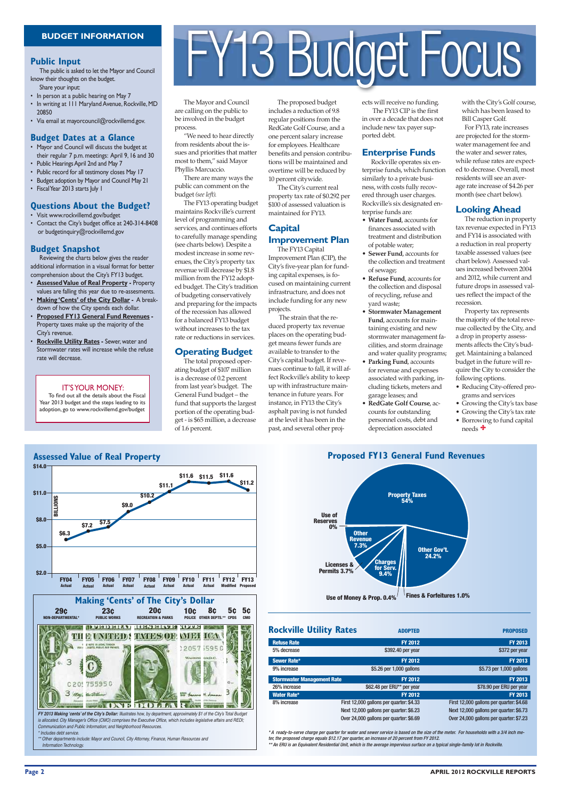

The Mayor and Council are calling on the public to be involved in the budget process.

"We need to hear directly from residents about the issues and priorities that matter most to them," said Mayor Phyllis Marcuccio.

There are many ways the public can comment on the budget *(see left)*.

The FY13 operating budget maintains Rockville's current level of programming and services, and continues efforts to carefully manage spending (see charts below). Despite a modest increase in some revenues, the City's property tax revenue will decrease by \$1.8 million from the FY12 adopted budget. The City's tradition of budgeting conservatively and preparing for the impacts of the recession has allowed for a balanced FY13 budget without increases to the tax rate or reductions in services.

## **Operating Budget**

The total proposed operating budget of \$107 million is a decrease of 0.2 percent from last year's budget. The General Fund budget – the fund that supports the largest portion of the operating budget - is \$65 million, a decrease of 1.6 percent.

The proposed budget includes a reduction of 9.8 regular positions from the RedGate Golf Course, and a one percent salary increase for employees. Healthcare benefits and pension contributions will be maintained and overtime will be reduced by 10 percent citywide.

The City's current real property tax rate of \$0.292 per \$100 of assessed valuation is maintained for FY13.

## **Capital Improvement Plan**

The FY13 Capital Improvement Plan (CIP), the City's five-year plan for funding capital expenses, is focused on maintaining current infrastructure, and does not include funding for any new projects.

 The strain that the reduced property tax revenue places on the operating budget means fewer funds are available to transfer to the City's capital budget. If revenues continue to fall, it will affect Rockville's ability to keep up with infrastructure maintenance in future years. For instance, in FY13 the City's asphalt paving is not funded at the level it has been in the past, and several other projects will receive no funding.

 The FY13 CIP is the first in over a decade that does not include new tax payer supported debt.

## **Enterprise Funds**

Rockville operates six enterprise funds, which function similarly to a private business, with costs fully recovered through user charges. Rockville's six designated enterprise funds are:

- Reducing City-offered programs and services
- Growing the City's tax base
- Growing the City's tax rate
- Borrowing to fund capital needs  $\ddagger$
- **Water Fund**, accounts for finances associated with treatment and distribution of potable water;
- **Sewer Fund**, accounts for the collection and treatment of sewage;
- **Refuse Fund**, accounts for the collection and disposal of recycling, refuse and yard waste;
- **Stormwater Management Fund**, accounts for maintaining existing and new stormwater management facilities, and storm drainage and water quality programs;
- **Parking Fund**, accounts for revenue and expenses associated with parking, including tickets, meters and garage leases; and
- **RedGate Golf Course**, accounts for outstanding personnel costs, debt and depreciation associated

\*\* Other departments include: Mayor and Council, City Attorney, Finance, Human Resources and Information Technology.

## **Public Input**

The public is asked to let the Mayor and Council know their thoughts on the budget.

- Share your input: • In person at a public hearing on May 7
- In writing at 111 Maryland Avenue, Rockville, MD 20850
- Via email at mayorcouncil@rockvillemd.gov.

## **Budget Dates at a Glance**

\* A ready-to-serve charge per quarter for water and sewer service is based on the size of the meter. For households with a 3/4 inch meter, the proposed charge equals \$12.17 per quarter, an increase of 20 percent from FY 2012. \*\* An ERU is an Equivalent Residential Unit, which is the average impervious surface on a typical single-family lot in Rockville.

- Mayor and Council will discuss the budget at their regular 7 p.m. meetings: April 9, 16 and 30
- Public Hearings April 2nd and May 7
- Public record for all testimony closes May 17
- Budget adoption by Mayor and Council May 21
- Fiscal Year 2013 starts July 1

## **Questions About the Budget?**

- Visit www.rockvillemd.gov/budget
- Contact the City's budget office at 240-314-8408 or budgetinquiry@rockvillemd.gov

## **Budget Snapshot**

Reviewing the charts below gives the reader additional information in a visual format for better comprehension about the City's FY13 budget.

- **Assessed Value of Real Property -** Property values are falling this year due to re-assesments.
- **Making 'Cents' of the City Dollar -** A breakdown of how the City spends each dollar.
- **Proposed FY13 General Fund Revenues -** Property taxes make up the majority of the City's revenue.
- **Rockville Utility Rates -** Sewer, water and Stormwater rates will increase while the refuse rate will decrease.

with the City's Golf course, which has been leased to Bill Casper Golf.

For FY13, rate increases are projected for the stormwater management fee and the water and sewer rates, while refuse rates are expected to decrease. Overall, most residents will see an average rate increase of \$4.26 per month (see chart below).

## **Looking Ahead**

The reduction in property tax revenue expected in FY13 and FY14 is associated with a reduction in real property taxable assessed values (see chart below). Assessed values increased between 2004 and 2012, while current and future drops in assessed values reflect the impact of the recession.

Property tax represents the majority of the total revenue collected by the City, and a drop in property assessments affects the City's budget. Maintaining a balanced budget in the future will require the City to consider the following options.

## IT'S YOUR MONEY:

To find out all the details about the Fiscal Year 2013 budget and the steps leading to its adoption, go to www.rockvillemd.gov/budget

# BUDGET INFORMATION<br>Dic Input<br>A neigr thoughts on the budget.

*FY 2013 Making 'cents' of the City's Dollar:* Illustrates how, by department, approximately \$1 of the City's Total Budget is allocated. City Manager's Office (CMO) comprises the Executive Office, which includes legislative affairs and REDI; Communication and Public Information; and Neighborhood Resources.

\* Includes debt service.



| <b>Rockville Utility Rates</b>    | <b>ADOPTED</b>                           | <b>PROPOSED</b>                          |
|-----------------------------------|------------------------------------------|------------------------------------------|
| <b>Refuse Rate</b>                | <b>FY 2012</b>                           | <b>FY 2013</b>                           |
| 5% decrease                       | \$392.40 per year                        | \$372 per year                           |
| Sewer Rate*                       | <b>FY 2012</b>                           | <b>FY 2013</b>                           |
| 9% increase                       | \$5.26 per 1,000 gallons                 | \$5.73 per 1,000 gallons                 |
| <b>Stormwater Management Rate</b> | <b>FY 2012</b>                           | <b>FY 2013</b>                           |
| 26% increase                      | \$62.48 per ERU** per year               | \$78.90 per ERU per year                 |
| Water Rate*                       | <b>FY 2012</b>                           | <b>FY 2013</b>                           |
| 8% increase                       | First 12,000 gallons per quarter: \$4.33 | First 12,000 gallons per quarter: \$4.68 |
|                                   | Next 12,000 gallons per quarter: \$6.23  | Next 12,000 gallons per quarter: \$6.73  |
|                                   | Over 24,000 gallons per quarter: \$6.69  | Over 24,000 gallons per quarter: \$7.23  |

![](_page_1_Figure_56.jpeg)

![](_page_1_Picture_57.jpeg)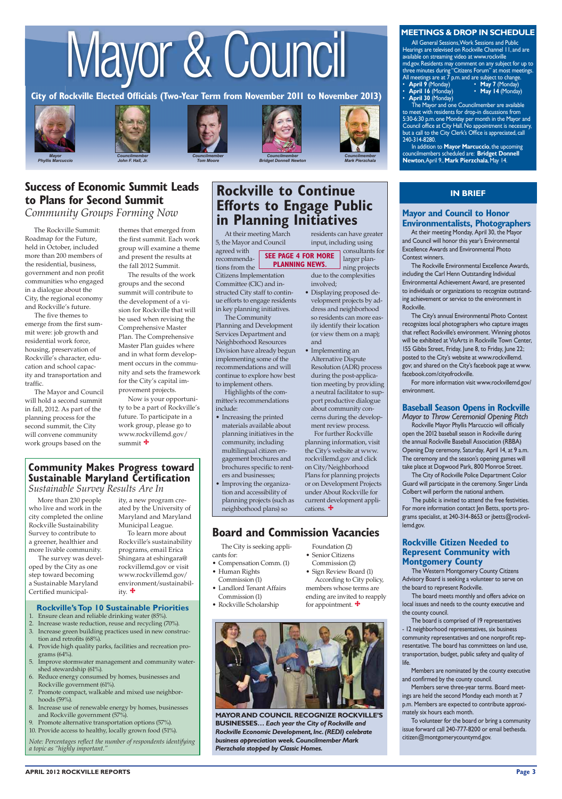![](_page_2_Picture_2.jpeg)

**Phyllis Marcuccio** 

# Mayor & Council

![](_page_2_Picture_6.jpeg)

**Bridget Donnell Newton** 

![](_page_2_Picture_4.jpeg)

![](_page_2_Picture_5.jpeg)

All General Sessions, Work Sessions and Public Hearings are televised on Rockville Channel 11, and are available on streaming video at www.rockville md.gov. Residents may comment on any subject for up to three minutes during "Citizens Forum" at most meetings. All meetings are at 7 p.m. and are subject to change. • **April 9** (Monday) • **May 7** (Monday) **April 9 (Monday)** • **May 7 (Monday)**<br>**April 16 (Monday)** • **May 14 (Monday)** 

![](_page_2_Picture_8.jpeg)

**City of Rockville Elected Officials (Two-Year Term from November 2011 to November 2013)**

**MEETINGS & DROP IN SCHEDULE**

## **IN BRIEF**

• **April 30** (Monday)

The Mayor and one Councilmember are available to meet with residents for drop-in discussions from 5:30-6:30 p.m. one Monday per month in the Mayor and Council office at City Hall. No appointment is necessary, but a call to the City Clerk's Office is appreciated, call 240-314-8280.

In addition to **Mayor Marcuccio**, the upcoming councilmembers scheduled are: **Bridget Donnell Newton**, April 9., **Mark Pierzchala**, May 14.

## **Board and Commission Vacancies**

cations.  $\ddot{\bullet}$ 

## **Mayor and Council to Honor Environmentalists, Photographers**

At their meeting Monday, April 30, the Mayor and Council will honor this year's Environmental Excellence Awards and Environmental Photo Contest winners.

The Rockville Environmental Excellence Awards, including the Carl Henn Outstanding Individual Environmental Achievement Award, are presented to individuals or organizations to recognize outstanding achievement or service to the environment in Rockville.

The City's annual Environmental Photo Contest recognizes local photographers who capture images that reflect Rockville's environment. Winning photos will be exhibited at VisArts in Rockville Town Center, 155 Gibbs Street, Friday, June 8, to Friday, June 22; posted to the City's website at www.rockvillemd. gov; and shared on the City's facebook page at www. facebook.com/cityofrockville.

For more information visit www.rockvillemd.gov/ environment.

## **Baseball Season Opens in Rockville**

*Mayor to Throw Ceremonial Opening Pitch* Rockville Mayor Phyllis Marcuccio will officially open the 2012 baseball season in Rockville during the annual Rockville Baseball Association (RBBA) Opening Day ceremony, Saturday, April 14, at 9 a.m. The ceremony and the season's opening games will take place at Dogwood Park, 800 Monroe Street.

 The City of Rockville Police Department Color Guard will participate in the ceremony. Singer Linda Colbert will perform the national anthem.

## **Success of Economic Summit Leads to Plans for Second Summit** *Community Groups Forming Now*

 The public is invited to attend the free festivities. For more information contact Jen Betts, sports programs specialist, at 240-314-8653 or jbetts@rockvillemd.gov.

## **Rockville Citizen Needed to Represent Community with Montgomery County**

 The Western Montgomery County Citizens Advisory Board is seeking a volunteer to serve on the board to represent Rockville.

Now is your opportunity to be a part of Rockville's future. To participate in a work group, please go to www.rockvillemd.gov/ summit  $\ddagger$ 

> The board meets monthly and offers advice on local issues and needs to the county executive and the county council.

The board is comprised of 19 representatives

- 12 neighborhood representatives, six business community representatives and one nonprofit representative. The board has committees on land use, transportation, budget, public safety and quality of life.

Members are nominated by the county executive and confirmed by the county council.

Members serve three-year terms. Board meetings are held the second Monday each month at 7 p.m. Members are expected to contribute approximately six hours each month.

To volunteer for the board or bring a community issue forward call 240-777-8200 or email bethesda. citizen@montgomerycountymd.gov.

## **Community Makes Progress toward Sustainable Maryland Certification** *Sustainable Survey Results Are In*

At their meeting March 5, the Mayor and Council agreed with

To learn more about Rockville's sustainability programs, email Erica Shingara at eshingara@ rockvillemd.gov or visit www.rockvillemd.gov/ environment/sustainability.  $\mathbf{\ddot{+}}$ 

Citizens Implementation Committee (CIC) and instructed City staff to continue efforts to engage residents in key planning initiatives.

The Community

Planning and Development Services Department and Neighborhood Resources Division have already begun implementing some of the recommendations and will continue to explore how best to implement others.

Highlights of the committee's recommendations include:

- Increase waste reduction, reuse and recycling (70%).
- 3. Increase green building practices used in new construction and retrofits (68%).
- 4. Provide high quality parks, facilities and recreation programs (64%).
- 5. Improve stormwater management and community watershed stewardship (61%).
- 6. Reduce energy consumed by homes, businesses and Rockville government (61%).
- 7. Promote compact, walkable and mixed use neighborhoods (59%).
- 8. Increase use of renewable energy by homes, businesses and Rockville government (57%).
- 9. Promote alternative transportation options (57%). 10. Provide access to healthy, locally grown food (51%).
- Increasing the printed materials available about planning initiatives in the community, including multilingual citizen engagement brochures and brochures specific to renters and businesses;
- Improving the organization and accessibility of planning projects (such as neighborhood plans) so

The City is seeking applicants for:

- Compensation Comm. (1)
- Human Rights Commission (1)
- Landlord Tenant Affairs Commission (1)
- Rockville Scholarship

The Rockville Summit: Roadmap for the Future, held in October, included more than 200 members of the residential, business, government and non profit communities who engaged in a dialogue about the City, the regional economy and Rockville's future.

The five themes to emerge from the first summit were: job growth and residential work force, housing, preservation of Rockville's character, education and school capacity and transportation and traffic.

The Mayor and Council will hold a second summit in fall, 2012. As part of the planning process for the second summit, the City will convene community work groups based on the

themes that emerged from the first summit. Each work group will examine a theme and present the results at the fall 2012 Summit.

The results of the work groups and the second summit will contribute to the development of a vision for Rockville that will be used when revising the Comprehensive Master Plan. The Comprehensive Master Plan guides where and in what form development occurs in the community and sets the framework for the City's capital improvement projects.

residents can have greater input, including using

> consultants for larger planning projects

*Mark Pierzchala* 

due to the complexities

involved;

• Displaying proposed development projects by address and neighborhood so residents can more easily identify their location (or view them on a map);

recommendations from the **SEE PAGE 4 FOR MORE PLANNING NEWS.**

and

• Implementing an Alternative Dispute Resolution (ADR) process during the post-application meeting by providing a neutral facilitator to support productive dialogue about community concerns during the development review process. For further Rockville planning information, visit the City's website at www. rockvillemd.gov and click on City/Neighborhood Plans for planning projects or on Development Projects under About Rockville for current development appli-

## **Rockville to Continue Efforts to Engage Public in Planning Initiatives**

Foundation (2) • Senior Citizens Commission (2) • Sign Review Board (1) According to City policy, members whose terms are ending are invited to reapply

for appointment.

More than 230 people who live and work in the city completed the online Rockville Sustainability Survey to contribute to a greener, healthier and more livable community.

 The survey was developed by the City as one step toward becoming a Sustainable Maryland Certified municipality, a new program created by the University of Maryland and Maryland Municipal League.

## **Rockville's Top 10 Sustainable Priorities** 1. Ensure clean and reliable drinking water (85%).

*Note: Percentages reflect the number of respondents identifying a topic as "highly important."*

![](_page_2_Picture_68.jpeg)

**MAYOR AND COUNCIL RECOGNIZE ROCKVILLE'S BUSINESSES…** *Each year the City of Rockville and Rockville Economic Development, Inc. (REDI) celebrate business appreciation week. Councilmember Mark Pierzchala stopped by Classic Homes.*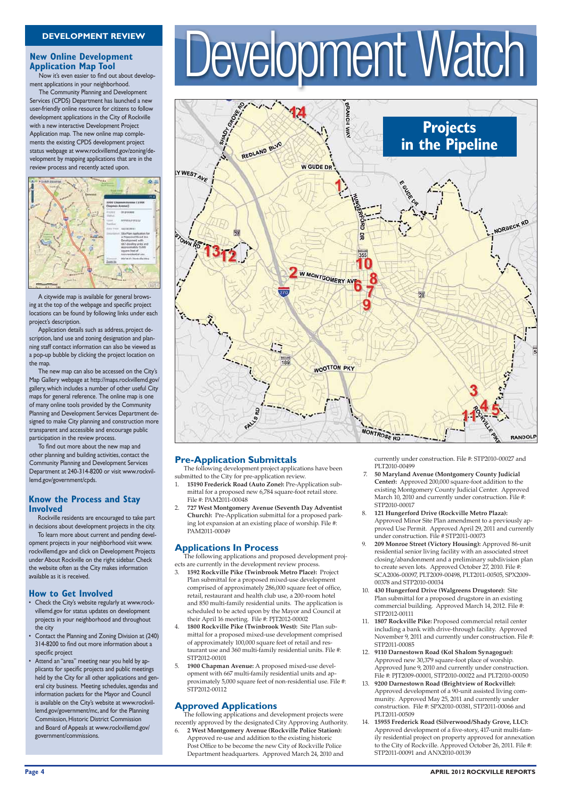# **Application Map Tool**

Now it's even easier to find out about development applications in your neighborhood.

The Community Planning and Development Services (CPDS) Department has launched a new user-friendly online resource for citizens to follow development applications in the City of Rockville with a new interactive Development Project Application map. The new online map complements the existing CPDS development project status webpage at www.rockvillemd.gov/zoning/development by mapping applications that are in the review process and recently acted upon.

![](_page_3_Figure_4.jpeg)

## **Know the Process and Stay Involved**

Rockville residents are encouraged to take part in decisions about development projects in the city.

To learn more about current and pending development projects in your neighborhood visit www. rockvillemd.gov and click on Development Projects under About Rockville on the right sidebar. Check the website often as the City makes information available as it is received.

## **How to Get Involved**

• Check the City's website regularly at www.rockvillemd.gov for status updates on development projects in your neighborhood and throughout

# New Online Development<br>Application Map Tool<br>Mexicon Sing Value and a Development application Map Tool

- 7. **50 Maryland Avenue (Montgomery County Judicial Center):** Approved 200,000 square-foot addition to the existing Montgomery County Judicial Center. Approved March 10, 2010 and currently under construction. File #: STP2010-00017
- 8. **121 Hungerford Drive (Rockville Metro Plaza):** Approved Minor Site Plan amendment to a previously approved Use Permit. Approved April 29, 2011 and currently under construction. File # STP2011-00073
- 9. **209 Monroe Street (Victory Housing):** Approved 86-unit residential senior living facility with an associated street closing/abandonment and a preliminary subdivision plan to create seven lots. Approved October 27, 2010. File #: SCA2006-00097, PLT2009-00498, PLT2011-00505, SPX2009- 00378 and STP2010-00034
- 10. **430 Hungerford Drive (Walgreens Drugstore):** Site Plan submittal for a proposed drugstore in an existing commercial building. Approved March 14, 2012. File #: STP2012-00111
- 1807 Rockville Pike: Proposed commercial retail center

## **Pre-Application Submittals**

The following development project applications have been submitted to the City for pre-application review.

- 1. **15190 Frederick Road (Auto Zone):** Pre-Application submittal for a proposed new 6,784 square-foot retail store. File #: PAM2011-00048
- 2. **727 West Montgomery Avenue (Seventh Day Adventist Church):** Pre-Application submittal for a proposed parking lot expansion at an existing place of worship. File #: PAM2011-00049

- the city
- Contact the Planning and Zoning Division at (240) 314-8200 to find out more information about a specific project
- Attend an "area" meeting near you held by applicants for specific projects and public meetings held by the City for all other applications and general city business. Meeting schedules, agendas and information packets for the Mayor and Council is available on the City's website at www.rockvillemd.gov/government/mc, and for the Planning Commission, Historic District Commission and Board of Appeals at www.rockvillemd.gov/ government/commissions.
- 4. **1800 Rockville Pike (Twinbrook West):** Site Plan submittal for a proposed mixed-use development comprised of approximately 100,000 square feet of retail and restaurant use and 360 multi-family residential units. File #: STP2012-00101
- 5. **1900 Chapman Avenue:** A proposed mixed-use development with 667 multi-family residential units and approximately 5,000 square feet of non-residential use. File #: STP2012-00112

## **Applications In Process**

The following applications and proposed development projects are currently in the development review process.

3. **1592 Rockville Pike (Twinbrook Metro Place):** Project Plan submittal for a proposed mixed-use development comprised of approximately 286,000 square feet of office, retail, restaurant and health club use, a 200-room hotel and 850 multi-family residential units. The application is scheduled to be acted upon by the Mayor and Council at their April 16 meeting. File #: PJT2012-00002

## **Approved Applications**

The following applications and development projects were recently approved by the designated City Approving Authority. 6. **2 West Montgomery Avenue (Rockville Police Station):**  Approved re-use and addition to the existing historic Post Office to be become the new City of Rockville Police Department headquarters. Approved March 24, 2010 and

currently under construction. File #: STP2010-00027 and PLT2010-00499

including a bank with drive-through facility. Approved November 9, 2011 and currently under construction. File #: STP2011-00085

- 12. **9110 Darnestown Road (Kol Shalom Synagogue):** Approved new 30,379 square-foot place of worship. Approved June 9, 2010 and currently under construction. File #: PJT2009-00001, STP2010-00022 and PLT2010-00050
- 13. **9200 Darnestown Road (Brightview of Rockville):**  Approved development of a 90-unit assisted living community. Approved May 25, 2011 and currently under construction. File #: SPX2010-00381, STP2011-00066 and PLT2011-00509
- 14. **15955 Frederick Road (Silverwood/Shady Grove, LLC):** Approved development of a five-story, 417-unit multi-family residential project on property approved for annexation to the City of Rockville. Approved October 26, 2011. File #: STP2011-00091 and ANX2010-00139

![](_page_3_Figure_15.jpeg)

A citywide map is available for general browsing at the top of the webpage and specific project locations can be found by following links under each project's description.

Application details such as address, project description, land use and zoning designation and planning staff contact information can also be viewed as a pop-up bubble by clicking the project location on the map.

The new map can also be accessed on the City's Map Gallery webpage at http://maps.rockvillemd.gov/ gallery, which includes a number of other useful City maps for general reference. The online map is one of many online tools provided by the Community Planning and Development Services Department designed to make City planning and construction more transparent and accessible and encourage public participation in the review process.

To find out more about the new map and other planning and building activities, contact the Community Planning and Development Services Department at 240-314-8200 or visit www.rockvillemd.gov/government/cpds.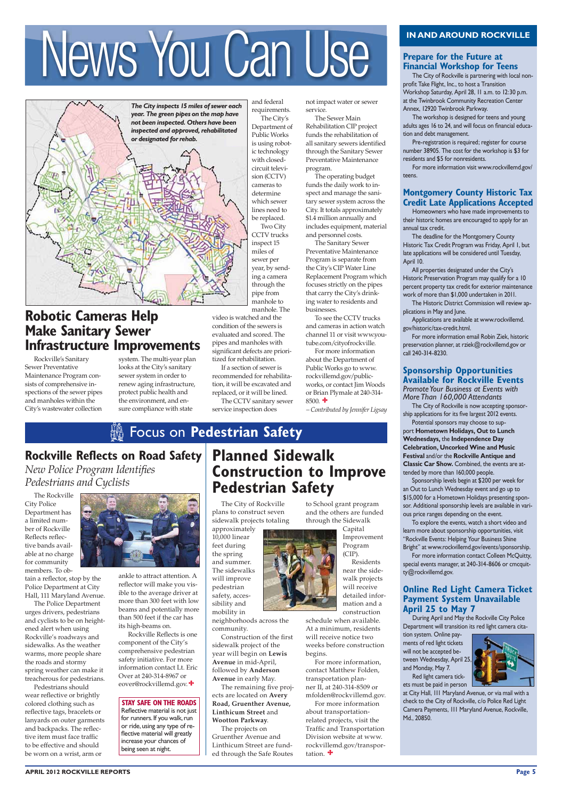Rockville's Sanitary Sewer Preventative Maintenance Program consists of comprehensive inspections of the sewer pipes and manholes within the City's wastewater collection

## **Prepare for the Future at Financial Workshop for Teens**

 The City of Rockville is partnering with local nonprofit Take Flight, Inc., to host a Transition Workshop Saturday, April 28, 11 a.m. to 12:30 p.m. at the Twinbrook Community Recreation Center Annex, 12920 Twinbrook Parkway.

 The workshop is designed for teens and young adults ages 16 to 24, and will focus on financial education and debt management.

 Pre-registration is required; register for course number 38905. The cost for the workshop is \$3 for residents and \$5 for nonresidents.

 For more information visit www.rockvillemd.gov/ teens.

## **Montgomery County Historic Tax Credit Late Applications Accepted**

 Homeowners who have made improvements to their historic homes are encouraged to apply for an annual tax credit.

The deadline for the Montgomery County Historic Tax Credit Program was Friday, April 1, but late applications will be considered until Tuesday, April 10.

All properties designated under the City's Historic Preservation Program may qualify for a 10 percent property tax credit for exterior maintenance work of more than \$1,000 undertaken in 2011.

The Historic District Commission will review applications in May and June.

Applications are available at www.rockvillemd. gov/historic/tax-credit.html.

For more information email Robin Ziek, historic preservation planner, at rziek@rockvillemd.gov or call 240-314-8230.

## **Sponsorship Opportunities Available for Rockville Events** *Promote Your Business at Events with*

*More Than 160,000 Attendants*

The City of Rockville is now accepting sponsorship applications for its five largest 2012 events.

Potential sponsors may choose to support **Hometown Holidays, Out to Lunch Wednesdays,** the **Independence Day Celebration, Uncorked Wine and Music Festival** and/or the **Rockville Antique and Classic Car Show.** Combined, the events are attended by more than 160,000 people.

Sponsorship levels begin at \$200 per week for an Out to Lunch Wednesday event and go up to \$15,000 for a Hometown Holidays presenting sponsor. Additional sponsorship levels are available in various price ranges depending on the event.

To explore the events, watch a short video and learn more about sponsorship opportunities, visit "Rockville Events: Helping Your Business Shine Bright" at www.rockvillemd.gov/events/sponsorship.

For more information contact Colleen McQuitty, special events manager, at 240-314-8606 or cmcquitty@rockvillemd.gov.

## **Online Red Light Camera Ticket Payment System Unavailable April 25 to May 7**

During April and May the Rockville City Police

Department will transition its red light camera cita-

tion system. Online payments of red light tickets will not be accepted between Wednesday, April 25, and Monday, May 7. Red light camera tickets must be paid in person

![](_page_4_Picture_64.jpeg)

For more information about the Department of Public Works go to www. rockvillemd.gov/publicworks, or contact Jim Woods or Brian Plymale at 240-314-  $8500.$   $\bigstar$ 

**Rockville Reflects on Road Safety** *New Police Program Identifies Pedestrians and Cyclists* 

> at City Hall, 111 Maryland Avenue, or via mail with a check to the City of Rockville, c/o Police Red Light Camera Payments, 111 Maryland Avenue, Rockville, Md., 20850.

The Rockville City Police Department has a limited number of Rockville Reflects reflective bands available at no charge for community members. To ob-

tain a reflector, stop by the Police Department at City Hall, 111 Maryland Avenue.

The Police Department urges drivers, pedestrians and cyclists to be on height-

![](_page_4_Picture_22.jpeg)

For more information, contact Matthew Folden, transportation planner II, at 240-314-8509 or mfolden@rockvillemd.gov. For more information about transportationrelated projects, visit the Traffic and Transportation Division website at www. rockvillemd.gov/transportation.  $\bigoplus$ 

ened alert when using Rockville's roadways and sidewalks. As the weather warms, more people share the roads and stormy spring weather can make it treacherous for pedestrians. Pedestrians should

wear reflective or brightly colored clothing such as reflective tags, bracelets or lanyards on outer garments and backpacks. The reflective item must face traffic to be effective and should be worn on a wrist, arm or

The City of Rockville plans to construct seven sidewalk projects totaling

approximately 10,000 linear feet during the spring and summer. The sidewalks will improve pedestrian safety, accessibility and mobility in

neighborhoods across the

community.

Construction of the first sidewalk project of the year will begin on **Lewis Avenue** in mid-April, followed by **Anderson Avenue** in early May. The remaining five projects are located on **Avery Road, Gruenther Avenue, Linthicum Street** and **Wootton Parkway**. The projects on Gruenther Avenue and Linthicum Street are funded through the Safe Routes

# **Robotic Cameras Help Make Sanitary Sewer Infrastructure Improvements**

system. The multi-year plan looks at the City's sanitary sewer system in order to renew aging infrastructure, protect public health and the environment, and ensure compliance with state

and federal requirements. The City's Department of Public Works is using robotic technology with closedcircuit television (CCTV) cameras to determine which sewer lines need to be replaced.

Two City CCTV trucks inspect 15 miles of sewer per year, by sending a camera through the pipe from manhole to manhole. The not impact water or sewer service.

The Sewer Main Rehabilitation CIP project funds the rehabilitation of all sanitary sewers identified through the Sanitary Sewer Preventative Maintenance program.

The operating budget funds the daily work to inspect and manage the sanitary sewer system across the City. It totals approximately \$1.4 million annually and includes equipment, material and personnel costs.

The Sanitary Sewer Preventative Maintenance Program is separate from the City's CIP Water Line Replacement Program which focuses strictly on the pipes that carry the City's drinking water to residents and businesses.

To see the CCTV trucks and cameras in action watch channel 11 or visit www.youtube.com/cityofrockville.

*– Contributed by Jennifer Ligsay*

ankle to attract attention. A reflector will make you visible to the average driver at more than 300 feet with low beams and potentially more than 500 feet if the car has

its high-beams on.

 Rockville Reflects is one component of the City's comprehensive pedestrian safety initiative. For more information contact Lt. Eric Over at 240-314-8967 or eover@rockvillemd.gov.

# **Planned Sidewalk Construction to Improve Pedestrian Safety**

to School grant program and the others are funded through the Sidewalk

> Capital Improvement Program (CIP).

Residents near the sidewalk projects will receive detailed information and a construction schedule when available.

At a minimum, residents will receive notice two weeks before construction begins.

**STAY SAFE ON THE ROADS** Reflective material is not just for runners. If you walk, run or ride, using any type of reflective material will greatly increase your chances of being seen at night.

# e Focus on **Pedestrian Safety**

# IN AND AROUND ROCKVILLE<br>
Prepare for the Future at<br>
The City of Rockville is partnering with local non-

![](_page_4_Picture_1.jpeg)

video is watched and the condition of the sewers is evaluated and scored. The pipes and manholes with significant defects are prioritized for rehabilitation.

If a section of sewer is recommended for rehabilitation, it will be excavated and replaced, or it will be lined.

The CCTV sanitary sewer service inspection does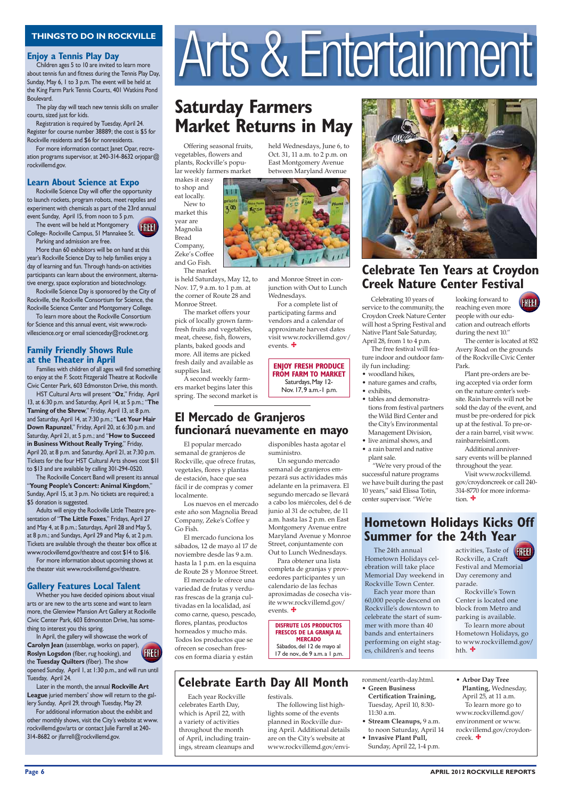### **Page 6 APRIL 2012 ROCKVILLE REPORTS**

Offering seasonal fruits, vegetables, flowers and plants, Rockville's popular weekly farmers market

makes it easy to shop and eat locally. New to market this year are Magnolia Bread Company, Zeke's Coffee

and Go Fish.

The market is held Saturdays, May 12, to Nov. 17, 9 a.m. to 1 p.m. at the corner of Route 28 and Monroe Street.

The market offers your pick of locally grown farmfresh fruits and vegetables, meat, cheese, fish, flowers, plants, baked goods and more. All items are picked fresh daily and available as supplies last.

A second weekly farmers market begins later this spring. The second market is

Celebrating 10 years of service to the community, the Croydon Creek Nature Center will host a Spring Festival and Native Plant Sale Saturday, April 28, from 1 to 4 p.m.

The free festival will feature indoor and outdoor family fun including:

- woodland hikes,
- nature games and crafts,
- exhibits,
- tables and demonstrations from festival partners the Wild Bird Center and the City's Environmental Management Division,
- live animal shows, and • a rain barrel and native
- plant sale. "We're very proud of the

successful nature programs we have built during the past 10 years," said Elissa Totin, center supervisor. "We're

Each year Rockville celebrates Earth Day, which is April 22, with a variety of activities throughout the month of April, including trainings, stream cleanups and

The 24th annual Hometown Holidays celebration will take place Memorial Day weekend in Rockville Town Center.

Each year more than 60,000 people descend on Rockville's downtown to celebrate the start of sum-

mer with more than 40 bands and entertainers performing on eight stages, children's and teens

## **Enjoy a Tennis Play Day**

 Children ages 5 to 10 are invited to learn more about tennis fun and fitness during the Tennis Play Day, Sunday, May 6, 1 to 3 p.m. The event will be held at the King Farm Park Tennis Courts, 401 Watkins Pond Boulevard.

 The play day will teach new tennis skills on smaller courts, sized just for kids.

Registration is required by Tuesday, April 24. Register for course number 38889; the cost is \$5 for Rockville residents and \$6 for nonresidents.

For more information contact Janet Opar, recreation programs supervisor, at 240-314-8632 orjopar@ rockvillemd.gov.

## **Learn About Science at Expo**

Rockville Science Day will offer the opportunity to launch rockets, program robots, meet reptiles and experiment with chemicals as part of the 23rd annual event Sunday, April 15, from noon to 5 p.m.

The event will be held at Montgomery College- Rockville Campus, 51 Mannakee St. Parking and admission are free.

> looking forward to reaching even more people with our education and outreach efforts during the next 10." **FREE!**

More than 60 exhibitors will be on hand at this year's Rockville Science Day to help families enjoy a day of learning and fun. Through hands-on activities participants can learn about the environment, alternative energy, space exploration and biotechnology.

> Visit www.rockvillemd. gov/croydoncreek or call 240- 314-8770 for more information.  $\ddagger$

Rockville Science Day is sponsored by the City of Rockville, the Rockville Consortium for Science, the Rockville Science Center and Montgomery College.

For a complete list of participating farms and vendors and a calendar of approximate harvest dates visit www.rockvillemd.gov/ events.  $\ddagger$ 

To learn more about the Rockville Consortium for Science and this annual event, visit www.rockvillescience.org or email scienceday@rocknet.org.

## **Family Friendly Shows Rule at the Theater in April**

activities, Taste of **FREE** Rockville, a Craft Festival and Memorial Day ceremony and parade.

To learn more about Hometown Holidays, go to www.rockvillemd.gov/ hth.  $\bigstar$ 

 Families with children of all ages will find something to enjoy at the F. Scott Fitzgerald Theatre at Rockville Civic Center Park, 603 Edmonston Drive, this month.

 HST Cultural Arts will present "**Oz**," Friday, April 13, at 6:30 p.m. and Saturday, April 14, at 5 p.m.; "**The Taming of the Shrew**," Friday, April 13, at 8 p.m. and Saturday, April 14, at 7:30 p.m.; "**Let Your Hair Down Rapunzel**," Friday, April 20, at 6:30 p.m. and Saturday, April 21, at 5 p.m.; and "**How to Succeed in Business Without Really Trying**," Friday, April 20, at 8 p.m. and Saturday, April 21, at 7:30 p.m. Tickets for the four HST Cultural Arts shows cost \$11 to \$13 and are available by calling 301-294-0520.

> **DISFRUTE LOS PRODUCTOS FRESCOS DE LA GRANJA AL MERCADO** Sábados, del 12 de mayo al 17 de nov., de 9 a.m. a 1 p.m.

The Rockville Concert Band will present its annual "**Young People's Concert: Animal Kingdom**," Sunday, April 15, at 3 p.m. No tickets are required; a \$5 donation is suggested.

> Para obtener una lista completa de granjas y proveedores participantes y un calendario de las fechas aproximadas de cosecha visite www.rockvillemd.gov/ events.  $\ddagger$

 Adults will enjoy the Rockville Little Theatre presentation of "**The Little Foxes**," Fridays, April 27 and May 4, at 8 p.m.; Saturdays, April 28 and May 5, at 8 p.m.; and Sundays, April 29 and May 6, at 2 p.m. Tickets are available through the theater box office at www.rockvillemd.gov/theatre and cost \$14 to \$16.

 For more information about upcoming shows at the theater visit www.rockvillemd.gov/theatre.

## **Gallery Features Local Talent**

 Whether you have decided opinions about visual arts or are new to the arts scene and want to learn more, the Glenview Mansion Art Gallery at Rockville Civic Center Park, 603 Edmonston Drive, has some-

# THINGS TO DO IN ROCKVILLE<br>Children ages 5 to 10 are invited to learn more<br>Cout tennis fun and fitness during the Tennis Play Day.

thing to interest you this spring.

 Later in the month, the annual **Rockville Art League** juried members' show will return to the gallery Sunday, April 29, through Tuesday, May 29. For additional information about the exhibit and other monthly shows, visit the City's website at www. rockvillemd.gov/arts or contact Julie Farrell at 240- 314-8682 or jfarrell@rockvillemd.gov.

# **Celebrate Ten Years at Croydon Creek Nature Center Festival**

The center is located at 852 Avery Road on the grounds of the Rockville Civic Center Park.

Plant pre-orders are being accepted via order form on the nature center's website. Rain barrels will not be sold the day of the event, and must be pre-ordered for pick up at the festival. To pre-order a rain barrel, visit www. rainbarrelsintl.com.

 In April, the gallery will showcase the work of **Carolyn Jean** (assemblage, works on paper), **Roslyn Logsdon** (fiber, rug hooking), and the **Tuesday Quilters** (fiber). The show opened Sunday, April 1, at 1:30 p.m., and will run until Tuesday, April 24. FREE!

Additional anniversary events will be planned throughout the year.

# **Saturday Farmers Market Returns in May**

held Wednesdays, June 6, to Oct. 31, 11 a.m. to 2 p.m. on East Montgomery Avenue between Maryland Avenue

![](_page_5_Picture_33.jpeg)

**ENJOY FRESH PRODUCE FROM FARM TO MARKET** Saturdays, May 12- Nov. 17, 9 a.m.-1 p.m.

![](_page_5_Picture_37.jpeg)

and Monroe Street in conjunction with Out to Lunch Wednesdays.

# **Celebrate Earth Day All Month**

## **Hometown Holidays Kicks Off Summer for the 24th Year**

Rockville's Town Center is located one block from Metro and parking is available.

![](_page_5_Picture_57.jpeg)

![](_page_5_Picture_58.jpeg)

FREE!

festivals.

The following list highlights some of the events planned in Rockville during April. Additional details are on the City's website at www.rockvillemd.gov/environment/earth-day.html.

**• Green Business Certification Training,** Tuesday, April 10, 8:30- 11:30 a.m.

- **Stream Cleanups,** 9 a.m. to noon Saturday, April 14
- **Invasive Plant Pull,**  Sunday, April 22, 1-4 p.m.

**• Arbor Day Tree Planting,** Wednesday, April 25, at 11 a.m. To learn more go to www.rockvillemd.gov/ environment or www. rockvillemd.gov/croydoncreek.

El popular mercado semanal de granjeros de Rockville, que ofrece frutas, vegetales, flores y plantas de estación, hace que sea fácil ir de compras y comer localmente.

Los nuevos en el mercado este año son Magnolia Bread Company, Zeke's Coffee y Go Fish.

El mercado funciona los sábados, 12 de mayo al 17 de noviembre desde las 9 a.m. hasta la 1 p.m. en la esquina de Route 28 y Monroe Street.

El mercado le ofrece una variedad de frutas y verduras frescas de la granja cultivadas en la localidad, así como carne, queso, pescado, flores, plantas, productos horneados y mucho más. Todos los productos que se ofrecen se cosechan frescos en forma diaria y están

## **El Mercado de Granjeros funcionará nuevamente en mayo**

disponibles hasta agotar el suministro.

> Un segundo mercado semanal de granjeros empezará sus actividades más adelante en la primavera. El segundo mercado se llevará a cabo los miércoles, del 6 de junio al 31 de octubre, de 11 a.m. hasta las 2 p.m. en East Montgomery Avenue entre Maryland Avenue y Monroe Street, conjuntamente con Out to Lunch Wednesdays.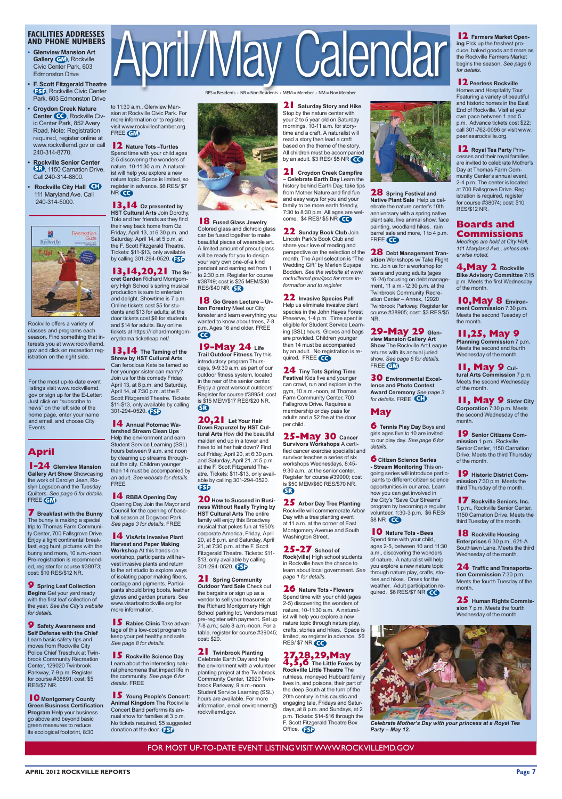**APRIL 2012 ROCKVILLE REPORTS Page 7**

## **FACILITIES ADDRESSES AND PHONE NUMBERS**

- **Glenview Mansion Art Gallery GM**, Rockville Civic Center Park, 603 Edmonston Drive
- **F. Scott Fitzgerald Theatre 55P**, Rockville Civic Center Park, 603 Edmonston Drive
- **Croydon Creek Nature Center CO**, Rockville Civic Center Park, 852 Avery Road. Note: Registration required, register online at www.rockvillemd.gov or call 240-314-8770.
- **Rockville Senior Center** , 1150 Carnation Drive. Call 240-314-8800.
- **Rockville City Hall** 111 Maryland Ave. Call 240-314-5000.

![](_page_6_Picture_6.jpeg)

Rockville offers a variety of classes and programs each season. Find something that interests you at www.rockvillemd. gov and click on recreation registration on the right side.

For the most up-to-date event listings visit www.rockvillemd. gov or sign up for the E-Letter: Just click on "subscribe to news" on the left side of the home page, enter your name and email, and choose City Events.

RES = Residents • NR = Non Residents • MEM = Member • NM = Non Member

your 2 to 5 year old on Saturday mornings, 10-11 a.m. for storytime and a craft. A naturalist will read a story then lead a craft based on the theme of the story. All children must be accompanied by an adult.  $$3$  RES/ $$5$  NR  $\bigodot$ 

**21** Croydon Creek Campfire  $-$  Celebrate Earth Day Learn the history behind Earth Day, take tips from Mother Nature and find fun and easy ways for you and your family to be more earth friendly, 7:30 to 8:30 p.m. All ages are welcome.  $$4$  RES/ $$5$  NR  $\bigodot$ 

**22** Sunday Book Club Join Lincoln Park's Book Club and share your love of reading and perspective on the selection of the month. The April selection is "The Wedding Gift" by Marlen Suyapa Bodden. See the website at www. rockvillemd.gov/lpcc for more in*formation and to register.* 

**22** Invasive Species Pull Help us eliminate invasive plant species in the John Hayes Forest Preserve, 1-4 p.m. Time spent is eligible for Student Service Learning (SSL) hours. Gloves and bags are provided. Children younger than 14 must be accompanied by an adult. No registration is required. FREE CO

**24** Tiny Tots Spring Time **Festival Kids five and younger** can crawl, run and explore in the gym, 10 a.m.-noon, at Thomas Farm Community Center, 700 Fallsgrove Drive. Reguires a membership or day pass for adults and a \$2 fee at the door per child.

# **25-May 30 Cancer**<br>Survivors Workshops A certi-

fied cancer exercise specialist and survivor teaches a series of six workshops Wednesdays, 8:45-9:30 a.m., at the senior center. Register for course #39000; cost is \$50 MEM/\$60 RES/\$70 NR.  $\mathbf G$ 

**25** Arbor Day Tree Planting Rockville will commemorate Arbor Day with a tree planting event at 11 a.m. at the corner of East Montgomery Avenue and South Washington Street.

## **25-27** School of

**Rock(ville)** High school students in Rockville have the chance to learn about local government. See page 1 for details.

**26** Nature Tots - Flowers Spend time with your child (ages 2-5) discovering the wonders of nature, 10-11:30 a.m. A naturalist will help you explore a new nature topic through nature play. crafts, stories and hikes. Space is limited, so register in advance. \$6 RES/ \$7 NR **CO** 

![](_page_6_Picture_27.jpeg)

**28** Spring Festival and **Native Plant Sale Help us cel**ebrate the nature center's 10th anniversary with a spring native plant sale, live animal show, face painting, woodland hikes, rain barrel sale and more, 1 to 4 p.m. FREE CO

**28** Debt Management Transition Workshops w/ Take Flight Inc. Join us for a workshop for teens and young adults (ages 16-24) focusing on debt management, 11 a.m.-12:30 p.m. at the Twinbrook Community Recreation Center - Annex, 12920 Twinbrook Parkway. Register for course #38905; cost: \$3 RES/\$5 N<sub>R</sub>

## **29-May 29 Glen-**

**View Mansion Gallery Art Show** The Rockville Art League returns with its annual juried show. See page 6 for details. FREE GM

**30** Environmental Excel-**Lence and Photo Contest Award Ceremony** See page 3 for details. FREE<sup>I</sup>CD

FOR MOST UP-TO-DATE EVENT LISTING VISIT WWW.ROCKVILLEMD.GOV

## **April**

**1-24** Glenview Mansion **Gallery Art Show Showcasing** the work of Carolyn Jean, Roslyn Logsdon and the Tuesday Quilters. See page 6 for details. FREE **GM** 

**7** Breakfast with the Bunny The bunny is making a special trip to Thomas Farm Community Center, 700 Fallsgrove Drive. Enjoy a light continental breakfast, egg hunt, pictures with the bunny and more,  $10$  a.m.-noon. Pre-registration is recommended, register for course #38073; cost: \$10 RES/\$12 NR.

**9** Spring Leaf Collection **Begins** Get your yard ready with the first leaf collection of the year. See the City's website *<i><u>Incodetails</u>* 

# April/May Calendar

![](_page_6_Picture_60.jpeg)

to 2:30 p.m. Register for course #38749; cost is \$25 MEM/\$30

**18** Go Green Lecture – Ur**ban Forestry Meet our City** forester and learn everything you wanted to know about trees, 7-8 p.m. Ages 16 and older. FREE

**19-May 24** Life<br>Trail Outdoor Fitness Try this introductory program Thursdays, 9-9:30 a.m. as part of our outdoor fitness system, located in the rear of the senior center. Enjoy a great workout outdoors! Register for course #38954; cost is \$15 MEM/\$17 RES/\$20 NR.

**20,21** Let Your Hair **Down Rapunzel by HST Cul**tural Arts How did the beautiful maiden end up in a tower and have to let her hair down? Find out Friday, April 20, at 6:30 p.m. and Saturday, April 21, at 5 p.m. at the F. Scott Fitzgerald Theatre. Tickets: \$11-\$13, only available by calling 301-294-0520.

**20** How to Succeed in Business Without Really Trying by **HST Cultural Arts The entire** family will enjoy this Broadway musical that pokes fun at 1950's corporate America, Friday, April 20, at 8 p.m. and Saturday, April 21, at  $7:30$  p.m. at the F. Scott Fitzgerald Theatre. Tickets: \$11-\$13, only available by calling 301-294-0520.

RES/\$40 NR. SR

Q

**SB** 

 $\bigoplus$ 

**13, 14** Oz presented by **HST Cultural Arts Join Dorothy,** Toto and her friends as they find their way back home from Oz. Friday, April 13, at 6:30 p.m. and Saturday, April 14, at 5 p.m. at the F. Scott Fitzgerald Theatre. Tickets: \$11-\$13, only available by calling 301-294-0520.  $F5$ **18** Fused Glass Jewelry Colored glass and dichroic glass can be fused together to make beautiful pieces of wearable art. A limited amount of precut glass will be ready for you to design your very own one-of-a kind pendant and earring set from 1

to 11:30 a.m., Glenview Mansion at Rockville Civic Park. For

**12** Nature Tots - Turtles

FREE **GM** 

NR CO

**13,14,20,21** The Secret Garden Richard Montgomery High School's spring musical production is sure to entertain and delight. Showtime is 7 p.m. Online tickets cost \$5 for students and \$13 for adults; at the door tickets cost \$6 for students and \$14 for adults. Buy online tickets at https://richardmontgomerydrama.ticketleap.net/.

**13, 14** The Taming of the **Shrew by HST Cultural Arts** Can ferocious Kate be tamed so her younger sister can marry? Join us for this comedy Friday, April 13, at 8 p.m. and Saturday, April 14, at  $7:30$  p.m. at the F. Scott Fitzgerald Theatre. Tickets: \$11-\$13, only available by calling 301-294-0520.

**14** Annual Potomac Wa**tershed Stream Clean Ups** Help the environment and earn Student Service Learning (SSL) hours between 9 a.m. and noon by cleaning up streams throughout the city. Children younger than 14 must be accompanied by an adult. See website for details. **FRFF** 

**14** RBBA Opening Day Opening Day Join the Mayor and Council for the opening of baseball season at Dogwood Park. See page 3 for details. FREE

**14** VisArts Invasive Plant **Harvest and Paper Making Workshop At this hands-on** workshop, participants will harvest invasive plants and return to the art studio to explore ways of isolating paper making fibers, cordage and pigments. Participants should bring boots, leather gloves and garden pruners. See www.visartsatrockville.org for more information.

### **15 Rabies Clinic** Take advan-

**21** Saturday Story and Hike Stop by the nature center with

**9** Safety Awareness and **Self Defense with the Chief** Learn basic safety tips and moves from Rockville City Police Chief Treschuk at Twinbrook Community Recreation Center, 129020 Twinbrook Parkway, 7-9 p.m. Register  $for course #38891; cost: $5$ RES/\$7 NR.

**10** Montgomery County **Green Business Certification Program** Help your business go above and beyond basic green measures to reduce its ecological footprint, 8:30

tage of this low-cost program to keep your pet healthy and safe. See page 8 for details.

### **15** Rockville Science Day Learn about the interesting natural phenomena that impact life in the community. See page 6 for

details. FREE

**15** Young People's Concert: **Animal Kingdom The Rockville** Concert Band performs its annual show for families at 3 p.m. No tickets required, \$5 suggested donation at the door.  $f5$ 

7-8 a.m.; sale 8 a.m.-noon. For a table, register for course #39045; cost: \$20.

**21** Spring Community **2XWGDADA CONGRREY OUT** the bargains or sign up as a vendor to sell your treasures at the Richard Montgomery High School parking lot. Vendors must pre-register with payment. Set up

**21** Twinbrook Planting Celebrate Earth Day and help the environment with a volunteer planting project at the Twinbrook Community Center, 12920 Twinbrook Parkway, 9 a.m.-noon. Student Service Learning (SSL) hours are available. For more information, email environment@ rockvillemd.gov.

**27,28,29,May 4,5,6** The Little Foxes by **Rockville Little Theatre The** ruthless, moneyed Hubbard family lives in, and poisons, their part of the deep South at the turn of the 20th century in this caustic and engaging tale, Fridays and Saturdays, at  $8$  p.m. and Sundays, at  $2$ p.m. Tickets: \$14-\$16 through the F. Scott Fitzgerald Theatre Box Office. **3D** 

![](_page_6_Picture_77.jpeg)

Celebrate Mother's Day with your princess at a Royal Tea *Party* - May 12.

## **May**

**6 Tennis Play Day** Boys and<br>girls ages five to 10 are invited to our play day. See page 6 for details.

**6** Citizen Science Series - Stream Monitoring This ongoing series will introduce participants to different citizen science opportunities in our area. Learn how you can get involved in the City's "Save Our Streams" program by becoming a regular volunteer, 1:30-3 p.m. \$6 RES/ \$8 NR **40** 

**10** Nature Tots - Bees Spend time with your child, ages 2-5, between 10 and 11:30 a.m., discovering the wonders of nature. A naturalist will help you explore a new nature topic through nature play, crafts, stories and hikes. Dress for the weather. Adult participation required.  $$6$  RES/\$7 NR  $\bigodot$ 

### **12** Farmers Market Open-**Lang** Pick up the freshest produce, baked goods and more as the Rockville Farmers Market begins the season. See page 6 for details.

## **12** Peerless Rockville

Homes and Hospitality Tour Featuring a variety of beautiful and historic homes in the East End of Rockville. Visit at your own pace between 1 and 5 p.m. Advance tickets cost \$22;  $cal$ <sub>call</sub> 301-762-0096 or visit www. neerlessrockville org

## **12** Royal Tea Party Prin-

cesses and their royal families are invited to celebrate Mother's Day at Thomas Farm Community Center's annual event, 2-4 p.m. The center is located at 700 Fallsgrove Drive. Registration is required, register for course  $\#38074$ ; cost: \$10 **RFS/\$12 NR** 

## **Boards and Commissions**

*Meetings are held at City Hall,* 111 Maryland Ave., unless otherwise noted.

## **4, May 2** Rockville

**Bike Advisory Committee 7:15** p.m. Meets the first Wednesday of the month.

**10, May 8 Environ**ment Commission 7:30 p.m. Meets the second Tuesday of the month.

## **11,25, May 9**

**Planning Commission 7 p.m.** Meets the second and fourth Wednesday of the month.

## **11, May 9 cul-**

tural Arts Commission 7 p.m. Meets the second Wednesday of the month.

# **11, May 9** Sister City Corporation 7:30 p.m. Meets

the second Wednesday of the month.

**19** Senior Citizens Com**mission** 1 p.m., Rockville Senior Center, 1150 Carnation Drive. Meets the third Thursday of the month.

**19** Historic District Com-**PLAVILLE 7:30 p.m. Meets the** third Thursday of the month.

**17** Rockville Seniors, Inc. 1 p.m., Rockville Senior Center, 1150 Carnation Drive. Meets the third Tuesday of the month.

**18** Rockville Housing Enterprises 6:30 p.m., 621-A Southlawn Lane. Meets the third Wednesday of the month.

**24** Traffic and Transporta**tion Commission 7:30 p.m.** Meets the fourth Tuesday of the month.

**25** Human Rights Commis-**Sion** 7 p.m. Meets the fourth Wednesday of the month